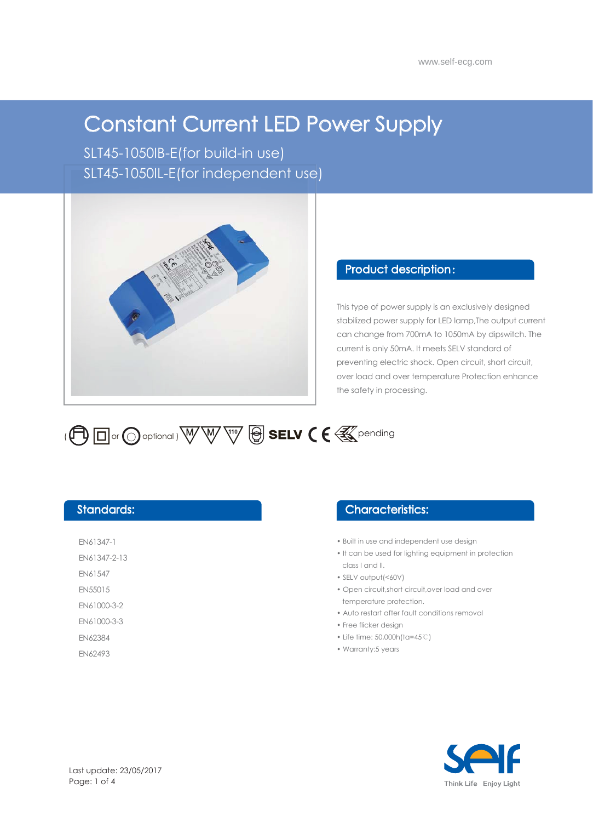# Constant Current LED Power Supply

SLT45-1050IB-E(for build-in use) SLT45-1050IL-E(for independent use)



### Product description :

This type of power supply is an exclusively designed stabilized power supply for LED lamp,The output current can change from 700mA to 1050mA by dipswitch. The current is only 50mA. It meets SELV standard of preventing electric shock. Open circuit, short circuit, over load and over temperature Protection enhance the safety in processing.

# $\mathbb{C}(\bigoplus \text{in}(\mathbb{C}))$  optional )  $\mathbb{W}\mathbb{W}$   $\mathbb{W}$   $\mathbb{W}$   $\mathbb{W}$  **SELV (**  $\mathsf{G}\mathbb{R}$  pending

## Standards:

EN61347-1

EN61347-2-13

EN61547 EN55015

EN61000-3-2

EN61000-3-3

EN62384

EN62493

# Characteristics:

- Built in use and independent use design
- It can be used for lighting equipment in protection class I and II.
- SELV output(<60V)
- Open circuit,short circuit,over load and over temperature protection.
- Auto restart after fault conditions removal
- Free flicker design
- Life time: 50,000h(ta=45℃)
- Warranty:5 years

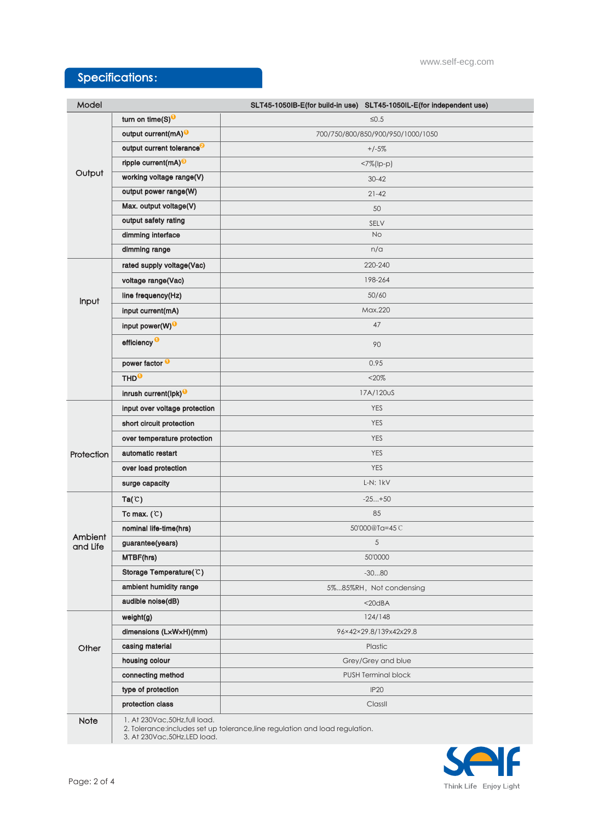# Specifications:

| Model               |                                                                 | SLT45-1050IB-E(for build-in use) SLT45-1050IL-E(for independent use)         |
|---------------------|-----------------------------------------------------------------|------------------------------------------------------------------------------|
| Output              | turn on time $(S)^\mathbf{O}$                                   | $\leq 0.5$                                                                   |
|                     | output current(mA) <sup>O</sup>                                 | 700/750/800/850/900/950/1000/1050                                            |
|                     | output current tolerance <sup>9</sup>                           | $+/-5%$                                                                      |
|                     | ripple current(mA) <sup>3</sup>                                 | $<7\%$ (Ip-p)                                                                |
|                     | working voltage range(V)                                        | $30 - 42$                                                                    |
|                     | output power range(W)                                           | $21 - 42$                                                                    |
|                     | Max. output voltage(V)                                          | 50                                                                           |
|                     | output safety rating                                            | SELV                                                                         |
|                     | dimming interface                                               | <b>No</b>                                                                    |
|                     | dimming range                                                   | n/a                                                                          |
| Input               | rated supply voltage(Vac)                                       | 220-240                                                                      |
|                     | voltage range(Vac)                                              | 198-264                                                                      |
|                     | line frequency(Hz)                                              | 50/60                                                                        |
|                     | input current(mA)                                               | Max.220                                                                      |
|                     | input power(W) <sup>0</sup>                                     | 47                                                                           |
|                     | efficiency <sup>O</sup>                                         | 90                                                                           |
|                     | power factor <sup>0</sup>                                       | 0.95                                                                         |
|                     | THD <sup>O</sup>                                                | $<$ 20%                                                                      |
|                     | inrush current(lpk) <sup>o</sup>                                | 17A/120uS                                                                    |
| Protection          | input over voltage protection                                   | <b>YES</b>                                                                   |
|                     | short circuit protection                                        | <b>YES</b>                                                                   |
|                     | over temperature protection                                     | <b>YES</b>                                                                   |
|                     | automatic restart                                               | <b>YES</b>                                                                   |
|                     | over load protection                                            | <b>YES</b>                                                                   |
|                     | surge capacity                                                  | L-N: 1kV                                                                     |
| Ambient<br>and Life | Ta(C)                                                           | $-25+50$                                                                     |
|                     | Tc max. $(C)$                                                   | 85                                                                           |
|                     | nominal life-time(hrs)                                          | 50'000@Ta=45C                                                                |
|                     | guarantee(years)                                                | 5                                                                            |
|                     | MTBF(hrs)                                                       | 50'0000                                                                      |
|                     | Storage Temperature(C)                                          | $-3080$                                                                      |
|                     | ambient humidity range                                          | 5%85%RH, Not condensing                                                      |
|                     | audible noise(dB)                                               | $<$ 20dBA                                                                    |
| Other               | weight(g)                                                       | 124/148                                                                      |
|                     | dimensions (LxWxH)(mm)                                          | 96×42×29.8/139x42x29.8                                                       |
|                     | casing material                                                 | Plastic                                                                      |
|                     | housing colour                                                  | Grey/Grey and blue                                                           |
|                     | connecting method                                               | <b>PUSH Terminal block</b>                                                   |
|                     | type of protection                                              | <b>IP20</b>                                                                  |
|                     | protection class                                                | ClassII                                                                      |
| Note                | 1. At 230Vac, 50Hz, full load.<br>3. At 230Vac, 50Hz, LED load. | 2. Tolerance:includes set up tolerance, line regulation and load regulation. |

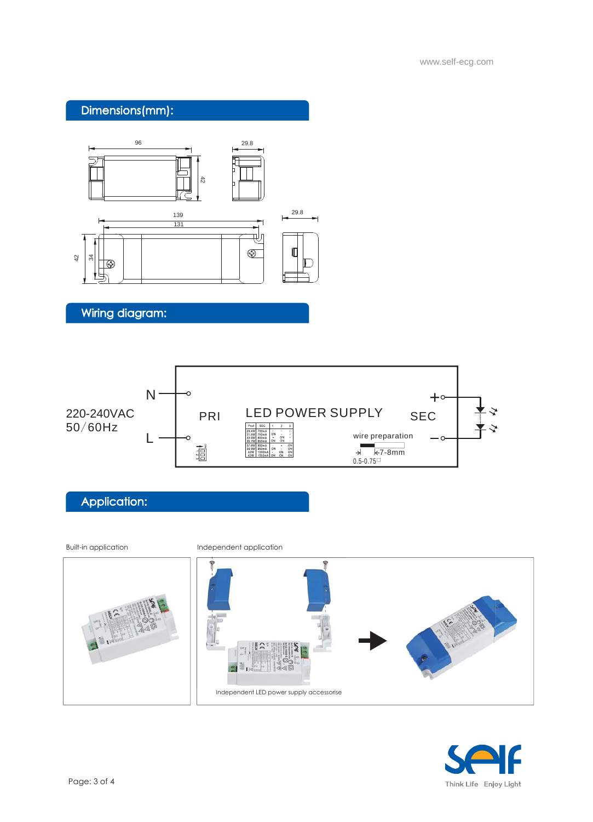# Dimensions(mm): 96 29.8  $rac{4}{5}$ 29.8 139  $\vdash$ 131 رلھ  $\bigoplus$ 42 34-63

Wiring diagram:



# Application:

Built-in application Independent application